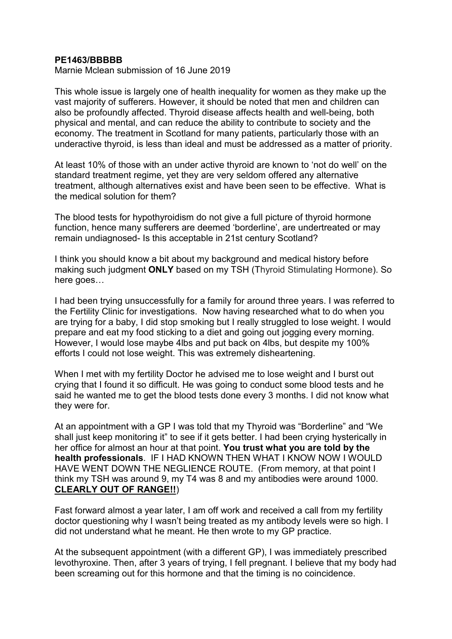## **PE1463/BBBBB**

Marnie Mclean submission of 16 June 2019

This whole issue is largely one of health inequality for women as they make up the vast majority of sufferers. However, it should be noted that men and children can also be profoundly affected. Thyroid disease affects health and well-being, both physical and mental, and can reduce the ability to contribute to society and the economy. The treatment in Scotland for many patients, particularly those with an underactive thyroid, is less than ideal and must be addressed as a matter of priority.

At least 10% of those with an under active thyroid are known to 'not do well' on the standard treatment regime, yet they are very seldom offered any alternative treatment, although alternatives exist and have been seen to be effective. What is the medical solution for them?

The blood tests for hypothyroidism do not give a full picture of thyroid hormone function, hence many sufferers are deemed 'borderline', are undertreated or may remain undiagnosed- Is this acceptable in 21st century Scotland?

I think you should know a bit about my background and medical history before making such judgment **ONLY** based on my TSH (Thyroid Stimulating Hormone). So here goes…

I had been trying unsuccessfully for a family for around three years. I was referred to the Fertility Clinic for investigations. Now having researched what to do when you are trying for a baby, I did stop smoking but I really struggled to lose weight. I would prepare and eat my food sticking to a diet and going out jogging every morning. However, I would lose maybe 4lbs and put back on 4lbs, but despite my 100% efforts I could not lose weight. This was extremely disheartening.

When I met with my fertility Doctor he advised me to lose weight and I burst out crying that I found it so difficult. He was going to conduct some blood tests and he said he wanted me to get the blood tests done every 3 months. I did not know what they were for.

At an appointment with a GP I was told that my Thyroid was "Borderline" and "We shall just keep monitoring it" to see if it gets better. I had been crying hysterically in her office for almost an hour at that point. **You trust what you are told by the health professionals**. IF I HAD KNOWN THEN WHAT I KNOW NOW I WOULD HAVE WENT DOWN THE NEGLIENCE ROUTE. (From memory, at that point I think my TSH was around 9, my T4 was 8 and my antibodies were around 1000. **CLEARLY OUT OF RANGE!!**)

Fast forward almost a year later, I am off work and received a call from my fertility doctor questioning why I wasn't being treated as my antibody levels were so high. I did not understand what he meant. He then wrote to my GP practice.

At the subsequent appointment (with a different GP), I was immediately prescribed levothyroxine. Then, after 3 years of trying, I fell pregnant. I believe that my body had been screaming out for this hormone and that the timing is no coincidence.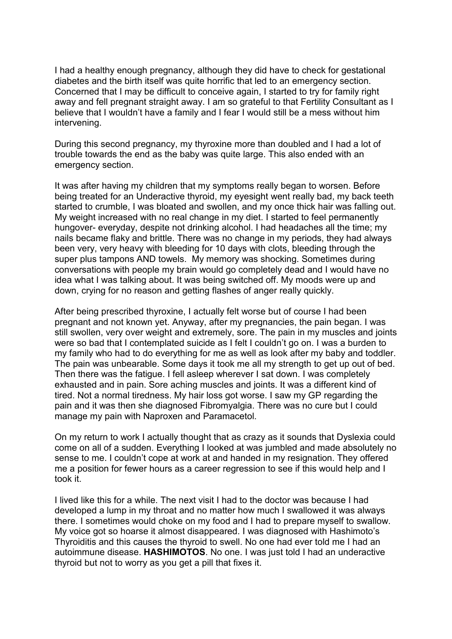I had a healthy enough pregnancy, although they did have to check for gestational diabetes and the birth itself was quite horrific that led to an emergency section. Concerned that I may be difficult to conceive again, I started to try for family right away and fell pregnant straight away. I am so grateful to that Fertility Consultant as I believe that I wouldn't have a family and I fear I would still be a mess without him intervening.

During this second pregnancy, my thyroxine more than doubled and I had a lot of trouble towards the end as the baby was quite large. This also ended with an emergency section.

It was after having my children that my symptoms really began to worsen. Before being treated for an Underactive thyroid, my eyesight went really bad, my back teeth started to crumble, I was bloated and swollen, and my once thick hair was falling out. My weight increased with no real change in my diet. I started to feel permanently hungover- everyday, despite not drinking alcohol. I had headaches all the time; my nails became flaky and brittle. There was no change in my periods, they had always been very, very heavy with bleeding for 10 days with clots, bleeding through the super plus tampons AND towels. My memory was shocking. Sometimes during conversations with people my brain would go completely dead and I would have no idea what I was talking about. It was being switched off. My moods were up and down, crying for no reason and getting flashes of anger really quickly.

After being prescribed thyroxine, I actually felt worse but of course I had been pregnant and not known yet. Anyway, after my pregnancies, the pain began. I was still swollen, very over weight and extremely, sore. The pain in my muscles and joints were so bad that I contemplated suicide as I felt I couldn't go on. I was a burden to my family who had to do everything for me as well as look after my baby and toddler. The pain was unbearable. Some days it took me all my strength to get up out of bed. Then there was the fatigue. I fell asleep wherever I sat down. I was completely exhausted and in pain. Sore aching muscles and joints. It was a different kind of tired. Not a normal tiredness. My hair loss got worse. I saw my GP regarding the pain and it was then she diagnosed Fibromyalgia. There was no cure but I could manage my pain with Naproxen and Paramacetol.

On my return to work I actually thought that as crazy as it sounds that Dyslexia could come on all of a sudden. Everything I looked at was jumbled and made absolutely no sense to me. I couldn't cope at work at and handed in my resignation. They offered me a position for fewer hours as a career regression to see if this would help and I took it.

I lived like this for a while. The next visit I had to the doctor was because I had developed a lump in my throat and no matter how much I swallowed it was always there. I sometimes would choke on my food and I had to prepare myself to swallow. My voice got so hoarse it almost disappeared. I was diagnosed with Hashimoto's Thyroiditis and this causes the thyroid to swell. No one had ever told me I had an autoimmune disease. **HASHIMOTOS**. No one. I was just told I had an underactive thyroid but not to worry as you get a pill that fixes it.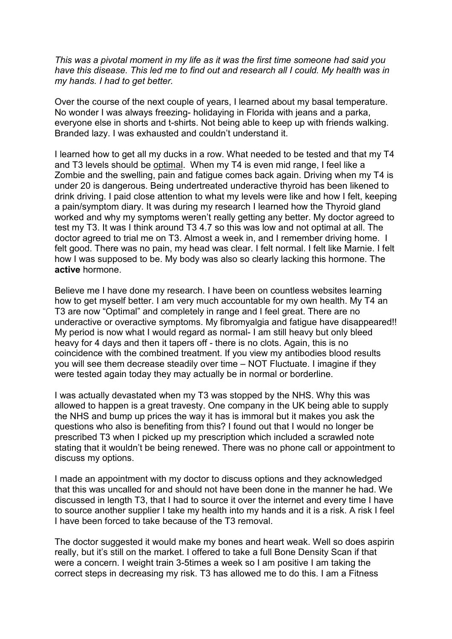*This was a pivotal moment in my life as it was the first time someone had said you have this disease. This led me to find out and research all I could. My health was in my hands. I had to get better.* 

Over the course of the next couple of years, I learned about my basal temperature. No wonder I was always freezing- holidaying in Florida with jeans and a parka, everyone else in shorts and t-shirts. Not being able to keep up with friends walking. Branded lazy. I was exhausted and couldn't understand it.

I learned how to get all my ducks in a row. What needed to be tested and that my T4 and T3 levels should be optimal. When my T4 is even mid range, I feel like a Zombie and the swelling, pain and fatigue comes back again. Driving when my T4 is under 20 is dangerous. Being undertreated underactive thyroid has been likened to drink driving. I paid close attention to what my levels were like and how I felt, keeping a pain/symptom diary. It was during my research I learned how the Thyroid gland worked and why my symptoms weren't really getting any better. My doctor agreed to test my T3. It was I think around T3 4.7 so this was low and not optimal at all. The doctor agreed to trial me on T3. Almost a week in, and I remember driving home. I felt good. There was no pain, my head was clear. I felt normal. I felt like Marnie. I felt how I was supposed to be. My body was also so clearly lacking this hormone. The **active** hormone.

Believe me I have done my research. I have been on countless websites learning how to get myself better. I am very much accountable for my own health. My T4 an T3 are now "Optimal" and completely in range and I feel great. There are no underactive or overactive symptoms. My fibromyalgia and fatigue have disappeared!! My period is now what I would regard as normal- I am still heavy but only bleed heavy for 4 days and then it tapers off - there is no clots. Again, this is no coincidence with the combined treatment. If you view my antibodies blood results you will see them decrease steadily over time – NOT Fluctuate. I imagine if they were tested again today they may actually be in normal or borderline.

I was actually devastated when my T3 was stopped by the NHS. Why this was allowed to happen is a great travesty. One company in the UK being able to supply the NHS and bump up prices the way it has is immoral but it makes you ask the questions who also is benefiting from this? I found out that I would no longer be prescribed T3 when I picked up my prescription which included a scrawled note stating that it wouldn't be being renewed. There was no phone call or appointment to discuss my options.

I made an appointment with my doctor to discuss options and they acknowledged that this was uncalled for and should not have been done in the manner he had. We discussed in length T3, that I had to source it over the internet and every time I have to source another supplier I take my health into my hands and it is a risk. A risk I feel I have been forced to take because of the T3 removal.

The doctor suggested it would make my bones and heart weak. Well so does aspirin really, but it's still on the market. I offered to take a full Bone Density Scan if that were a concern. I weight train 3-5times a week so I am positive I am taking the correct steps in decreasing my risk. T3 has allowed me to do this. I am a Fitness